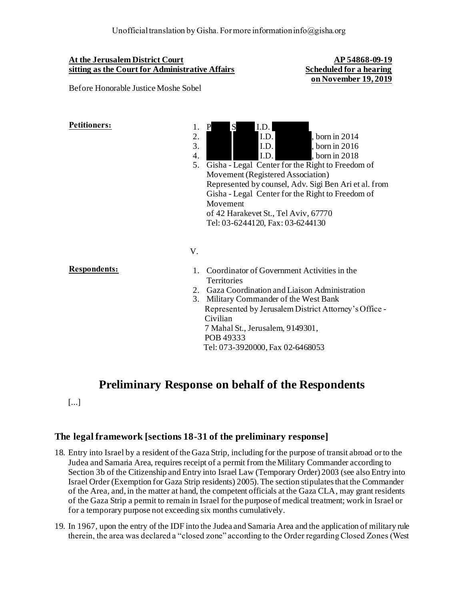### **At the Jerusalem District Court sitting as the Court for Administrative Affairs**

Before Honorable Justice Moshe Sobel

**AP 54868-09-19 Scheduled for a hearing on November 19, 2019**



5. Gisha - Legal Center for the Right to Freedom of Movement (Registered Association) Represented by counsel, Adv. Sigi Ben Ari et al. from Gisha - Legal Center for the Right to Freedom of Movement of 42 Harakevet St., Tel Aviv, 67770 Tel: 03-6244120, Fax: 03-6244130

## V.

- **Respondents:** 1. Coordinator of Government Activities in the **Territories** 
	- 2. Gaza Coordination and Liaison Administration
	- 3. Military Commander of the West Bank Represented by Jerusalem District Attorney's Office - Civilian 7 Mahal St., Jerusalem, 9149301, POB 49333 Tel: 073-3920000, Fax 02-6468053

# **Preliminary Response on behalf of the Respondents**

[...]

## **The legal framework [sections 18-31 of the preliminary response]**

- 18. Entry into Israel by a resident of the Gaza Strip, including for the purpose of transit abroad or to the Judea and Samaria Area, requires receipt of a permit from the Military Commander according to Section 3b of the Citizenship and Entry into Israel Law (Temporary Order) 2003 (see also Entry into Israel Order (Exemption for Gaza Strip residents) 2005). The section stipulates that the Commander of the Area, and, in the matter at hand, the competent officials at the Gaza CLA, may grant residents of the Gaza Strip a permit to remain in Israel for the purpose of medical treatment; work in Israel or for a temporary purpose not exceeding six months cumulatively.
- 19. In 1967, upon the entry of the IDF into the Judea and Samaria Area and the application of military rule therein, the area was declared a "closed zone" according to the Order regarding Closed Zones (West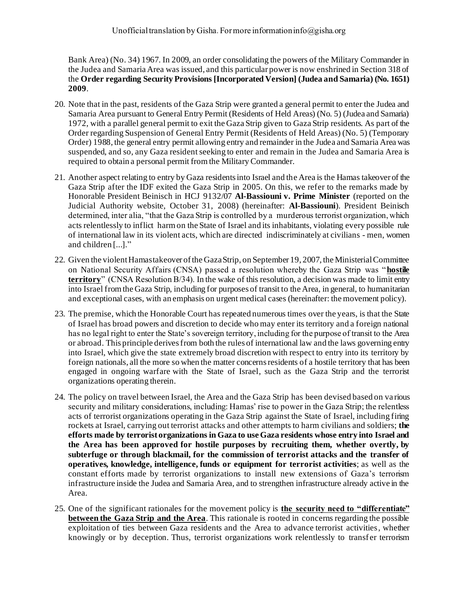Bank Area) (No. 34) 1967. In 2009, an order consolidating the powers of the Military Commander in the Judea and Samaria Area was issued, and this particular power is now enshrined in Section 318 of the **Order regarding Security Provisions [Incorporated Version] (Judea and Samaria) (No. 1651) 2009**.

- 20. Note that in the past, residents of the Gaza Strip were granted a general permit to enter the Judea and Samaria Area pursuant to General Entry Permit (Residents of Held Areas) (No. 5) (Judea and Samaria) 1972, with a parallel general permit to exit the Gaza Strip given to Gaza Strip residents. As part of the Order regarding Suspension of General Entry Permit (Residents of Held Areas) (No. 5) (Temporary Order) 1988, the general entry permit allowing entry and remainder in the Judea and Samaria Area was suspended, and so, any Gaza resident seeking to enter and remain in the Judea and Samaria Area is required to obtain a personal permit from the Military Commander.
- 21. Another aspect relating to entry by Gaza residents into Israel and the Area is the Hamas takeover of the Gaza Strip after the IDF exited the Gaza Strip in 2005. On this, we refer to the remarks made by Honorable President Beinisch in HCJ 9132/07 **Al-Bassiouni v. Prime Minister** (reported on the Judicial Authority website, October 31, 2008) (hereinafter: **Al-Bassiouni**). President Beinisch determined, inter alia, "that the Gaza Strip is controlled by a murderous terrorist organization, which acts relentlessly to inflict harm on the State of Israel and its inhabitants, violating every possible rule of international law in its violent acts, which are directed indiscriminately at civilians - men, women and children [...]."
- 22. Given the violent Hamas takeover of the Gaza Strip, on September 19, 2007, the Ministerial Committee on National Security Affairs (CNSA) passed a resolution whereby the Gaza Strip was "**hostile territory**" (CNSA Resolution B/34). In the wake of this resolution, a decision was made to limit entry into Israel from the Gaza Strip, including for purposes of transit to the Area, in general, to humanitarian and exceptional cases, with an emphasis on urgent medical cases (hereinafter: the movement policy).
- 23. The premise, which the Honorable Court has repeated numerous times over the years, is that the State of Israel has broad powers and discretion to decide who may enter its territory and a foreign national has no legal right to enter the State's sovereign territory, including for the purpose of transit to the Area or abroad. This principle derives from both the rules of international law and the laws governing entry into Israel, which give the state extremely broad discretion with respect to entry into its territory by foreign nationals, all the more so when the matter concerns residents of a hostile territory that has been engaged in ongoing warfare with the State of Israel, such as the Gaza Strip and the terrorist organizations operating therein.
- 24. The policy on travel between Israel, the Area and the Gaza Strip has been devised based on va rious security and military considerations, including: Hamas' rise to power in the Gaza Strip; the relentless acts of terrorist organizations operating in the Gaza Strip against the State of Israel, including firing rockets at Israel, carrying out terrorist attacks and other attempts to harm civilians and soldiers; **the efforts made by terrorist organizations in Gaza to use Gaza residents whose entry into Israel and the Area has been approved for hostile purposes by recruiting them, whether overtly, by subterfuge or through blackmail, for the commission of terrorist attacks and the transfer of operatives, knowledge, intelligence, funds or equipment for terrorist activities**; as well as the constant efforts made by terrorist organizations to install new extensions of Gaza's terrorism infrastructure inside the Judea and Samaria Area, and to strengthen infrastructure already active in the Area.
- 25. One of the significant rationales for the movement policy is **the security need to "differentiate" between the Gaza Strip and the Area**. This rationale is rooted in concerns regarding the possible exploitation of ties between Gaza residents and the Area to advance terrorist activities, whether knowingly or by deception. Thus, terrorist organizations work relentlessly to transfer terrorism